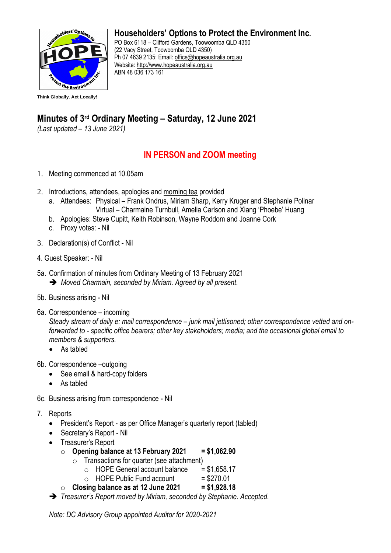

**Householders' Options to Protect the Environment Inc.**

PO Box 6118 – Clifford Gardens, Toowoomba QLD 4350 (22 Vacy Street, Toowoomba QLD 4350) Ph 07 4639 2135; Email: [office@hopeaustralia.org.au](mailto:office@hopeaustralia.org.au)  Website: [http://www.hopeaustralia.org.au](http://www.hopeaustralia.org.au/) ABN 48 036 173 161

## **Minutes of 3 rd Ordinary Meeting – Saturday, 12 June 2021**

*(Last updated – 13 June 2021)*

## **IN PERSON and ZOOM meeting**

- 1. Meeting commenced at 10.05am
- 2. Introductions, attendees, apologies and morning tea provided
	- a. Attendees: Physical Frank Ondrus, Miriam Sharp, Kerry Kruger and Stephanie Polinar Virtual – Charmaine Turnbull, Amelia Carlson and Xiang 'Phoebe' Huang
	- b. Apologies: Steve Cupitt, Keith Robinson, Wayne Roddom and Joanne Cork
	- c. Proxy votes: Nil
- 3. Declaration(s) of Conflict Nil
- 4. Guest Speaker: Nil
- 5a. Confirmation of minutes from Ordinary Meeting of 13 February 2021 ➔ *Moved Charmain, seconded by Miriam. Agreed by all present.*
- 5b. Business arising Nil
- 6a. Correspondence incoming

*Steady stream of daily e: mail correspondence – junk mail jettisoned; other correspondence vetted and onforwarded to - specific office bearers; other key stakeholders; media; and the occasional global email to members & supporters.* 

- As tabled
- 6b. Correspondence –outgoing
	- See email & hard-copy folders
	- As tabled
- 6c. Business arising from correspondence Nil
- 7. Reports
	- President's Report as per Office Manager's quarterly report (tabled)
	- Secretary's Report Nil
	- Treasurer's Report
		- o **Opening balance at 13 February 2021 = \$1,062.90**
			- $\circ$  Transactions for quarter (see attachment)
				- $\circ$  HOPE General account balance = \$1,658.17
				- $\circ$  HOPE Public Fund account = \$270.01
		- o **Closing balance as at 12 June 2021 = \$1,928.18**
	- ➔ *Treasurer's Report moved by Miriam, seconded by Stephanie. Accepted.*

*Note: DC Advisory Group appointed Auditor for 2020-2021*